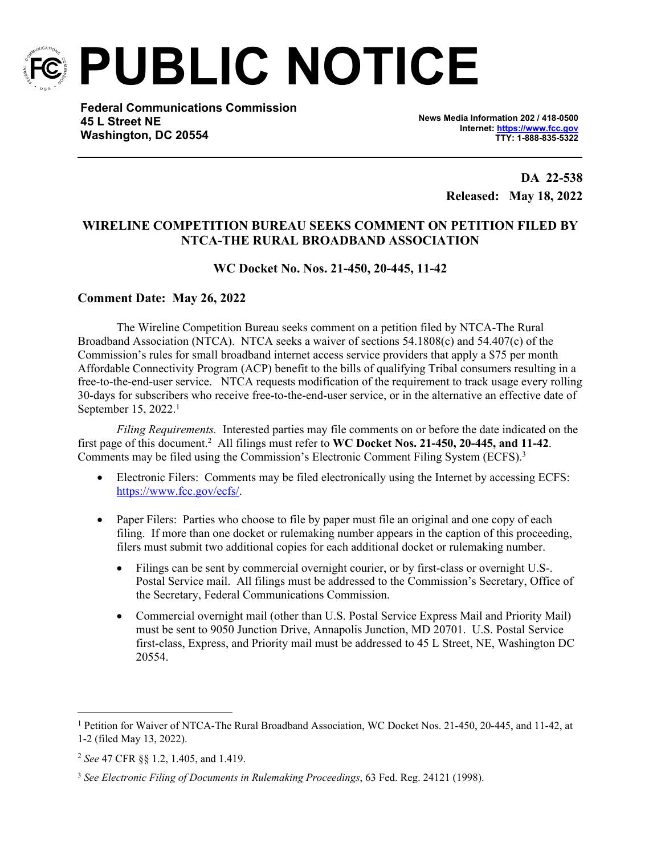

**PUBLIC NOTICE**

**Federal Communications Commission 45 L Street NE Washington, DC 20554**

**News Media Information 202 / 418-0500 Internet:<https://www.fcc.gov> TTY: 1-888-835-5322**

> **DA 22-538 Released: May 18, 2022**

## **WIRELINE COMPETITION BUREAU SEEKS COMMENT ON PETITION FILED BY NTCA-THE RURAL BROADBAND ASSOCIATION**

## **WC Docket No. Nos. 21-450, 20-445, 11-42**

## **Comment Date: May 26, 2022**

The Wireline Competition Bureau seeks comment on a petition filed by NTCA-The Rural Broadband Association (NTCA). NTCA seeks a waiver of sections 54.1808(c) and 54.407(c) of the Commission's rules for small broadband internet access service providers that apply a \$75 per month Affordable Connectivity Program (ACP) benefit to the bills of qualifying Tribal consumers resulting in a free-to-the-end-user service. NTCA requests modification of the requirement to track usage every rolling 30-days for subscribers who receive free-to-the-end-user service, or in the alternative an effective date of September 15, 2022.<sup>1</sup>

*Filing Requirements.* Interested parties may file comments on or before the date indicated on the first page of this document.<sup>2</sup> All filings must refer to **WC Docket Nos. 21-450, 20-445, and 11-42**. Comments may be filed using the Commission's Electronic Comment Filing System (ECFS).<sup>3</sup>

- Electronic Filers: Comments may be filed electronically using the Internet by accessing ECFS: [https://www.fcc.gov/ecfs/.](https://www.fcc.gov/ecfs/)
- Paper Filers: Parties who choose to file by paper must file an original and one copy of each filing. If more than one docket or rulemaking number appears in the caption of this proceeding, filers must submit two additional copies for each additional docket or rulemaking number.
	- Filings can be sent by commercial overnight courier, or by first-class or overnight U.S-. Postal Service mail. All filings must be addressed to the Commission's Secretary, Office of the Secretary, Federal Communications Commission.
	- Commercial overnight mail (other than U.S. Postal Service Express Mail and Priority Mail) must be sent to 9050 Junction Drive, Annapolis Junction, MD 20701. U.S. Postal Service first-class, Express, and Priority mail must be addressed to 45 L Street, NE, Washington DC 20554.

<sup>&</sup>lt;sup>1</sup> Petition for Waiver of NTCA-The Rural Broadband Association, WC Docket Nos. 21-450, 20-445, and 11-42, at 1-2 (filed May 13, 2022).

<sup>2</sup> *See* 47 CFR §§ 1.2, 1.405, and 1.419.

<sup>3</sup> *See Electronic Filing of Documents in Rulemaking Proceedings*, 63 Fed. Reg. 24121 (1998).